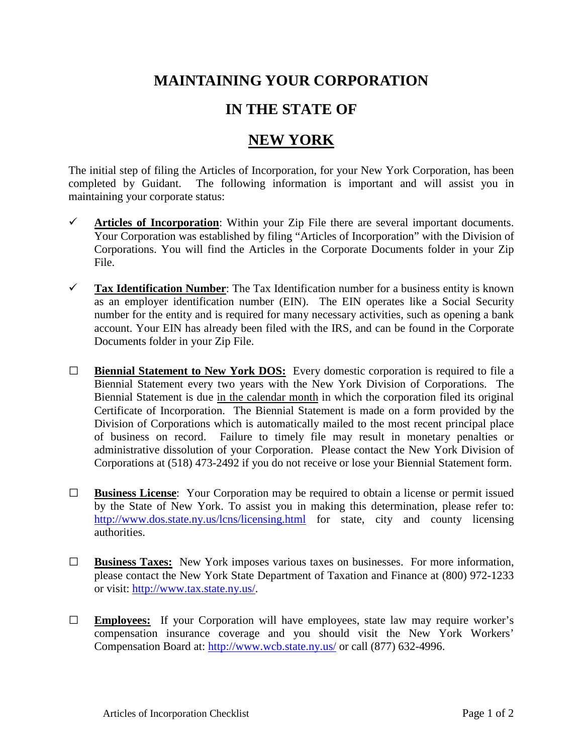## **MAINTAINING YOUR CORPORATION**

## **IN THE STATE OF**

## **NEW YORK**

The initial step of filing the Articles of Incorporation, for your New York Corporation, has been completed by Guidant. The following information is important and will assist you in maintaining your corporate status:

- $\checkmark$  Articles of Incorporation: Within your Zip File there are several important documents. Your Corporation was established by filing "Articles of Incorporation" with the Division of Corporations. You will find the Articles in the Corporate Documents folder in your Zip File.
- **Tax Identification Number**: The Tax Identification number for a business entity is known as an employer identification number (EIN). The EIN operates like a Social Security number for the entity and is required for many necessary activities, such as opening a bank account. Your EIN has already been filed with the IRS, and can be found in the Corporate Documents folder in your Zip File.
- **□ Biennial Statement to New York DOS:** Every domestic corporation is required to file a Biennial Statement every two years with the New York Division of Corporations. The Biennial Statement is due in the calendar month in which the corporation filed its original Certificate of Incorporation. The Biennial Statement is made on a form provided by the Division of Corporations which is automatically mailed to the most recent principal place of business on record. Failure to timely file may result in monetary penalties or administrative dissolution of your Corporation. Please contact the New York Division of Corporations at (518) 473-2492 if you do not receive or lose your Biennial Statement form.
- **□ Business License**: Your Corporation may be required to obtain a license or permit issued by the State of New York. To assist you in making this determination, please refer to: <http://www.dos.state.ny.us/lcns/licensing.html> for state, city and county licensing authorities.
- **□ Business Taxes:** New York imposes various taxes on businesses. For more information, please contact the New York State Department of Taxation and Finance at (800) 972-1233 or visit: [http://www.tax.state.ny.us/.](http://www.tax.state.ny.us/)
- **□ Employees:** If your Corporation will have employees, state law may require worker's compensation insurance coverage and you should visit the New York Workers' Compensation Board at:<http://www.wcb.state.ny.us/> or call (877) 632-4996.